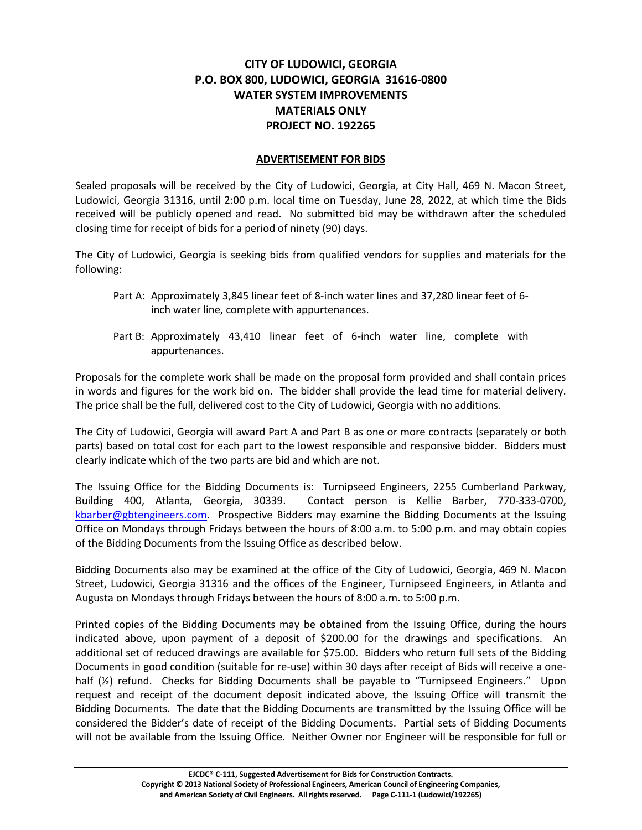## **CITY OF LUDOWICI, GEORGIA P.O. BOX 800, LUDOWICI, GEORGIA 31616-0800 WATER SYSTEM IMPROVEMENTS MATERIALS ONLY PROJECT NO. 192265**

## **ADVERTISEMENT FOR BIDS**

Sealed proposals will be received by the City of Ludowici, Georgia, at City Hall, 469 N. Macon Street, Ludowici, Georgia 31316, until 2:00 p.m. local time on Tuesday, June 28, 2022, at which time the Bids received will be publicly opened and read. No submitted bid may be withdrawn after the scheduled closing time for receipt of bids for a period of ninety (90) days.

The City of Ludowici, Georgia is seeking bids from qualified vendors for supplies and materials for the following:

- Part A: Approximately 3,845 linear feet of 8-inch water lines and 37,280 linear feet of 6 inch water line, complete with appurtenances.
- Part B: Approximately 43,410 linear feet of 6-inch water line, complete with appurtenances.

Proposals for the complete work shall be made on the proposal form provided and shall contain prices in words and figures for the work bid on. The bidder shall provide the lead time for material delivery. The price shall be the full, delivered cost to the City of Ludowici, Georgia with no additions.

The City of Ludowici, Georgia will award Part A and Part B as one or more contracts (separately or both parts) based on total cost for each part to the lowest responsible and responsive bidder. Bidders must clearly indicate which of the two parts are bid and which are not.

The Issuing Office for the Bidding Documents is: Turnipseed Engineers, 2255 Cumberland Parkway, Building 400, Atlanta, Georgia, 30339. Contact person is Kellie Barber, 770-333-0700, [kbarber@gbtengineers.com.](mailto:kbarber@gbtengineers.com) Prospective Bidders may examine the Bidding Documents at the Issuing Office on Mondays through Fridays between the hours of 8:00 a.m. to 5:00 p.m. and may obtain copies of the Bidding Documents from the Issuing Office as described below.

Bidding Documents also may be examined at the office of the City of Ludowici, Georgia, 469 N. Macon Street, Ludowici, Georgia 31316 and the offices of the Engineer, Turnipseed Engineers, in Atlanta and Augusta on Mondays through Fridays between the hours of 8:00 a.m. to 5:00 p.m.

Printed copies of the Bidding Documents may be obtained from the Issuing Office, during the hours indicated above, upon payment of a deposit of \$200.00 for the drawings and specifications. An additional set of reduced drawings are available for \$75.00. Bidders who return full sets of the Bidding Documents in good condition (suitable for re-use) within 30 days after receipt of Bids will receive a onehalf ( $\frac{1}{2}$ ) refund. Checks for Bidding Documents shall be payable to "Turnipseed Engineers." Upon request and receipt of the document deposit indicated above, the Issuing Office will transmit the Bidding Documents. The date that the Bidding Documents are transmitted by the Issuing Office will be considered the Bidder's date of receipt of the Bidding Documents. Partial sets of Bidding Documents will not be available from the Issuing Office. Neither Owner nor Engineer will be responsible for full or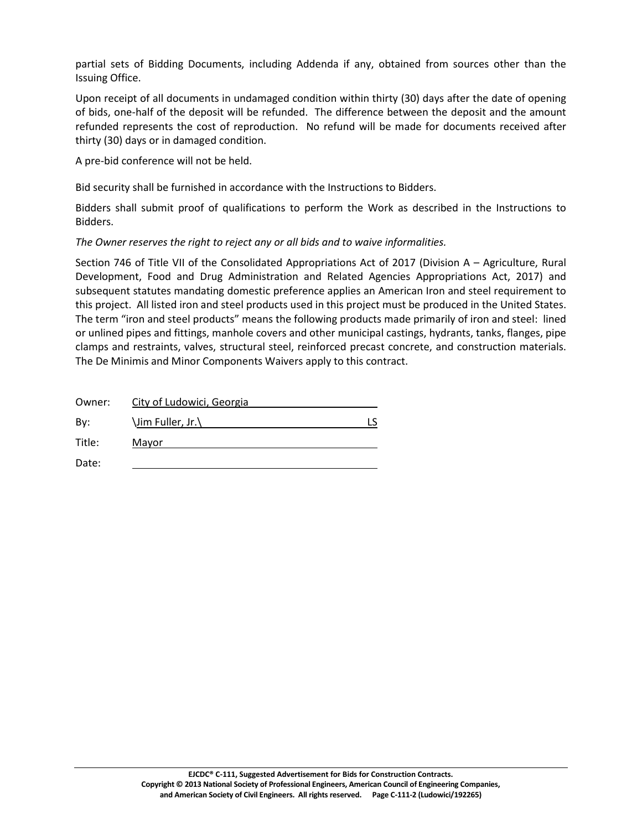partial sets of Bidding Documents, including Addenda if any, obtained from sources other than the Issuing Office.

Upon receipt of all documents in undamaged condition within thirty (30) days after the date of opening of bids, one-half of the deposit will be refunded. The difference between the deposit and the amount refunded represents the cost of reproduction. No refund will be made for documents received after thirty (30) days or in damaged condition.

A pre-bid conference will not be held.

Bid security shall be furnished in accordance with the Instructions to Bidders.

Bidders shall submit proof of qualifications to perform the Work as described in the Instructions to Bidders.

*The Owner reserves the right to reject any or all bids and to waive informalities.*

Section 746 of Title VII of the Consolidated Appropriations Act of 2017 (Division A – Agriculture, Rural Development, Food and Drug Administration and Related Agencies Appropriations Act, 2017) and subsequent statutes mandating domestic preference applies an American Iron and steel requirement to this project. All listed iron and steel products used in this project must be produced in the United States. The term "iron and steel products" means the following products made primarily of iron and steel: lined or unlined pipes and fittings, manhole covers and other municipal castings, hydrants, tanks, flanges, pipe clamps and restraints, valves, structural steel, reinforced precast concrete, and construction materials. The De Minimis and Minor Components Waivers apply to this contract.

| Owner: | City of Ludowici, Georgia |  |
|--------|---------------------------|--|
| Bv:    | \Jim Fuller, Jr.\         |  |
| Title: | Mayor                     |  |
| Date:  |                           |  |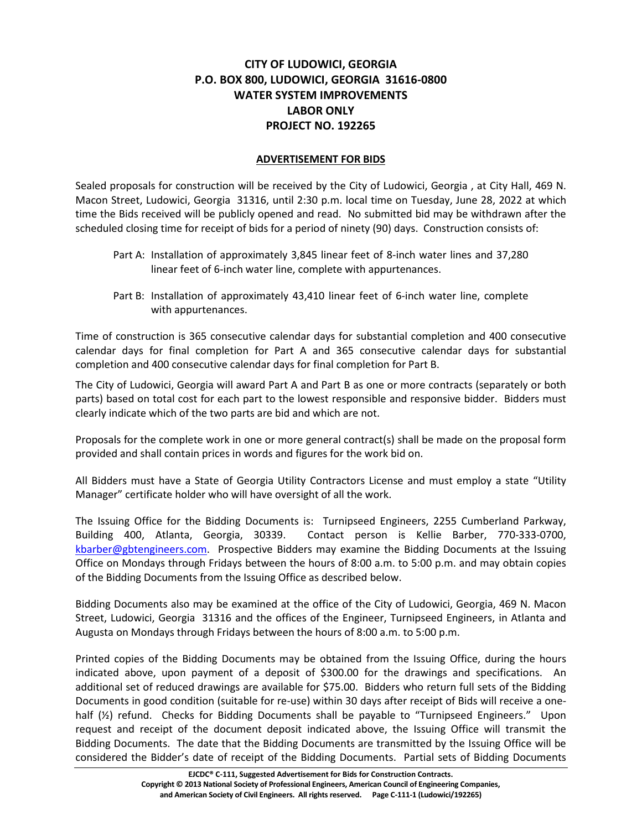## **CITY OF LUDOWICI, GEORGIA P.O. BOX 800, LUDOWICI, GEORGIA 31616-0800 WATER SYSTEM IMPROVEMENTS LABOR ONLY PROJECT NO. 192265**

## **ADVERTISEMENT FOR BIDS**

Sealed proposals for construction will be received by the City of Ludowici, Georgia , at City Hall, 469 N. Macon Street, Ludowici, Georgia 31316, until 2:30 p.m. local time on Tuesday, June 28, 2022 at which time the Bids received will be publicly opened and read. No submitted bid may be withdrawn after the scheduled closing time for receipt of bids for a period of ninety (90) days. Construction consists of:

- Part A: Installation of approximately 3,845 linear feet of 8-inch water lines and 37,280 linear feet of 6-inch water line, complete with appurtenances.
- Part B: Installation of approximately 43,410 linear feet of 6-inch water line, complete with appurtenances.

Time of construction is 365 consecutive calendar days for substantial completion and 400 consecutive calendar days for final completion for Part A and 365 consecutive calendar days for substantial completion and 400 consecutive calendar days for final completion for Part B.

The City of Ludowici, Georgia will award Part A and Part B as one or more contracts (separately or both parts) based on total cost for each part to the lowest responsible and responsive bidder. Bidders must clearly indicate which of the two parts are bid and which are not.

Proposals for the complete work in one or more general contract(s) shall be made on the proposal form provided and shall contain prices in words and figures for the work bid on.

All Bidders must have a State of Georgia Utility Contractors License and must employ a state "Utility Manager" certificate holder who will have oversight of all the work.

The Issuing Office for the Bidding Documents is: Turnipseed Engineers, 2255 Cumberland Parkway, Building 400, Atlanta, Georgia, 30339. Contact person is Kellie Barber, 770-333-0700, [kbarber@gbtengineers.com.](mailto:kbarber@gbtengineers.com) Prospective Bidders may examine the Bidding Documents at the Issuing Office on Mondays through Fridays between the hours of 8:00 a.m. to 5:00 p.m. and may obtain copies of the Bidding Documents from the Issuing Office as described below.

Bidding Documents also may be examined at the office of the City of Ludowici, Georgia, 469 N. Macon Street, Ludowici, Georgia 31316 and the offices of the Engineer, Turnipseed Engineers, in Atlanta and Augusta on Mondays through Fridays between the hours of 8:00 a.m. to 5:00 p.m.

Printed copies of the Bidding Documents may be obtained from the Issuing Office, during the hours indicated above, upon payment of a deposit of \$300.00 for the drawings and specifications. An additional set of reduced drawings are available for \$75.00. Bidders who return full sets of the Bidding Documents in good condition (suitable for re-use) within 30 days after receipt of Bids will receive a onehalf ( $\frac{1}{2}$ ) refund. Checks for Bidding Documents shall be payable to "Turnipseed Engineers." Upon request and receipt of the document deposit indicated above, the Issuing Office will transmit the Bidding Documents. The date that the Bidding Documents are transmitted by the Issuing Office will be considered the Bidder's date of receipt of the Bidding Documents. Partial sets of Bidding Documents